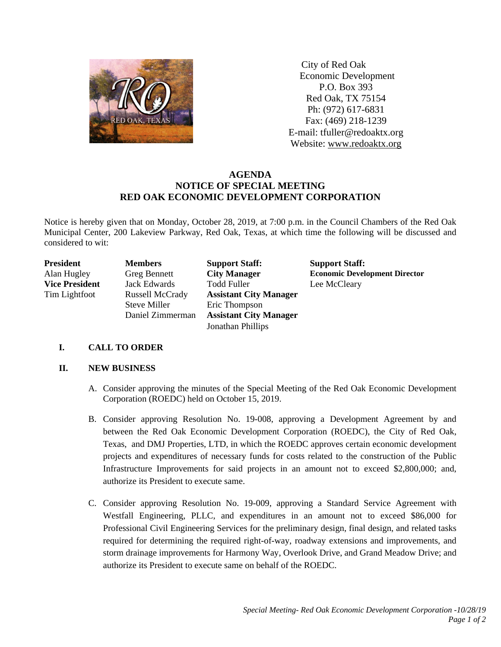

 City of Red Oak Economic Development P.O. Box 393 Red Oak, TX 75154 Ph: (972) 617-6831 Fax: (469) 218-1239 E-mail: tfuller@redoaktx.org Website: www.redoaktx.org

# **AGENDA NOTICE OF SPECIAL MEETING RED OAK ECONOMIC DEVELOPMENT CORPORATION**

Notice is hereby given that on Monday, October 28, 2019, at 7:00 p.m. in the Council Chambers of the Red Oak Municipal Center, 200 Lakeview Parkway, Red Oak, Texas, at which time the following will be discussed and considered to wit:

| President             | <b>Members</b>         | <b>Support Staff:</b>         | <b>Support Staff:</b>                |
|-----------------------|------------------------|-------------------------------|--------------------------------------|
| Alan Hugley           | <b>Greg Bennett</b>    | <b>City Manager</b>           | <b>Economic Development Director</b> |
| <b>Vice President</b> | <b>Jack Edwards</b>    | <b>Todd Fuller</b>            | Lee McCleary                         |
| Tim Lightfoot         | <b>Russell McCrady</b> | <b>Assistant City Manager</b> |                                      |
|                       | <b>Steve Miller</b>    | Eric Thompson                 |                                      |
|                       | Daniel Zimmerman       | <b>Assistant City Manager</b> |                                      |
|                       |                        | Jonathan Phillips             |                                      |

## **I. CALL TO ORDER**

## **II. NEW BUSINESS**

- A. Consider approving the minutes of the Special Meeting of the Red Oak Economic Development Corporation (ROEDC) held on October 15, 2019.
- B. Consider approving Resolution No. 19-008, approving a Development Agreement by and between the Red Oak Economic Development Corporation (ROEDC), the City of Red Oak, Texas, and DMJ Properties, LTD, in which the ROEDC approves certain economic development projects and expenditures of necessary funds for costs related to the construction of the Public Infrastructure Improvements for said projects in an amount not to exceed \$2,800,000; and, authorize its President to execute same.
- C. Consider approving Resolution No. 19-009, approving a Standard Service Agreement with Westfall Engineering, PLLC, and expenditures in an amount not to exceed \$86,000 for Professional Civil Engineering Services for the preliminary design, final design, and related tasks required for determining the required right-of-way, roadway extensions and improvements, and storm drainage improvements for Harmony Way, Overlook Drive, and Grand Meadow Drive; and authorize its President to execute same on behalf of the ROEDC.